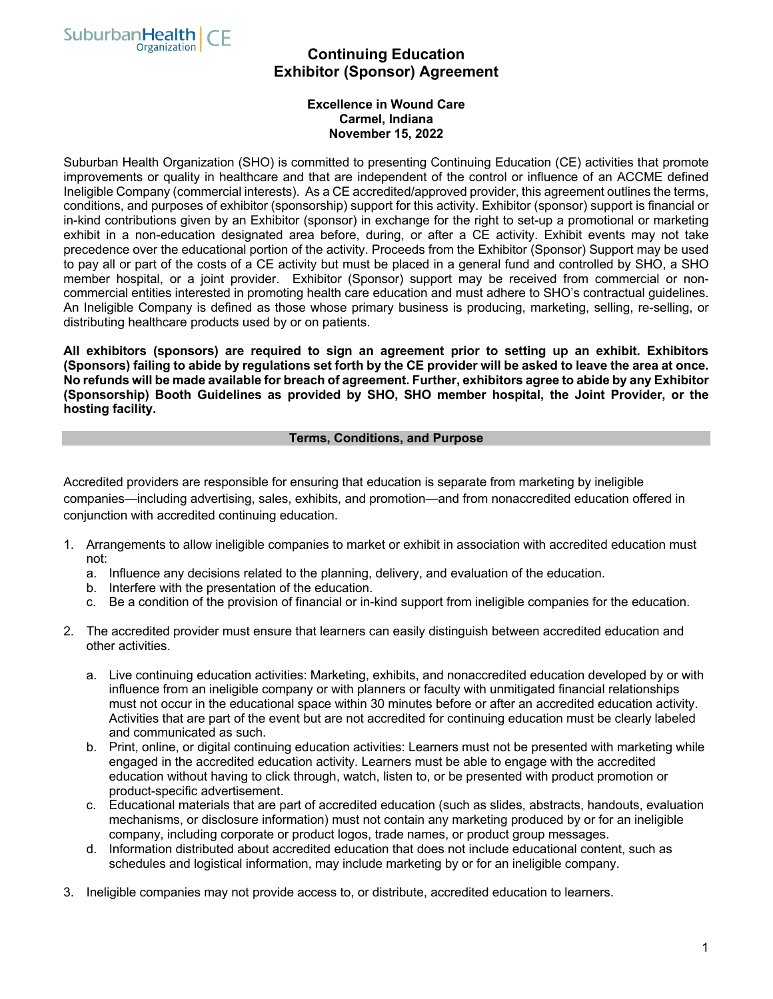

# **Continuing Education Exhibitor (Sponsor) Agreement**

### **Excellence in Wound Care Carmel, Indiana November 15, 2022**

Suburban Health Organization (SHO) is committed to presenting Continuing Education (CE) activities that promote improvements or quality in healthcare and that are independent of the control or influence of an ACCME defined Ineligible Company (commercial interests). As a CE accredited/approved provider, this agreement outlines the terms, conditions, and purposes of exhibitor (sponsorship) support for this activity. Exhibitor (sponsor) support is financial or in-kind contributions given by an Exhibitor (sponsor) in exchange for the right to set-up a promotional or marketing exhibit in a non-education designated area before, during, or after a CE activity. Exhibit events may not take precedence over the educational portion of the activity. Proceeds from the Exhibitor (Sponsor) Support may be used to pay all or part of the costs of a CE activity but must be placed in a general fund and controlled by SHO, a SHO member hospital, or a joint provider. Exhibitor (Sponsor) support may be received from commercial or noncommercial entities interested in promoting health care education and must adhere to SHO's contractual guidelines. An Ineligible Company is defined as those whose primary business is producing, marketing, selling, re-selling, or distributing healthcare products used by or on patients.

**All exhibitors (sponsors) are required to sign an agreement prior to setting up an exhibit. Exhibitors (Sponsors) failing to abide by regulations set forth by the CE provider will be asked to leave the area at once. No refunds will be made available for breach of agreement. Further, exhibitors agree to abide by any Exhibitor (Sponsorship) Booth Guidelines as provided by SHO, SHO member hospital, the Joint Provider, or the hosting facility.**

#### **Terms, Conditions, and Purpose**

Accredited providers are responsible for ensuring that education is separate from marketing by ineligible companies—including advertising, sales, exhibits, and promotion—and from nonaccredited education offered in conjunction with accredited continuing education.

- 1. Arrangements to allow ineligible companies to market or exhibit in association with accredited education must not:
	- a. Influence any decisions related to the planning, delivery, and evaluation of the education.
	- b. Interfere with the presentation of the education.
	- c. Be a condition of the provision of financial or in-kind support from ineligible companies for the education.
- 2. The accredited provider must ensure that learners can easily distinguish between accredited education and other activities.
	- a. Live continuing education activities: Marketing, exhibits, and nonaccredited education developed by or with influence from an ineligible company or with planners or faculty with unmitigated financial relationships must not occur in the educational space within 30 minutes before or after an accredited education activity. Activities that are part of the event but are not accredited for continuing education must be clearly labeled and communicated as such.
	- b. Print, online, or digital continuing education activities: Learners must not be presented with marketing while engaged in the accredited education activity. Learners must be able to engage with the accredited education without having to click through, watch, listen to, or be presented with product promotion or product-specific advertisement.
	- c. Educational materials that are part of accredited education (such as slides, abstracts, handouts, evaluation mechanisms, or disclosure information) must not contain any marketing produced by or for an ineligible company, including corporate or product logos, trade names, or product group messages.
	- d. Information distributed about accredited education that does not include educational content, such as schedules and logistical information, may include marketing by or for an ineligible company.
- 3. Ineligible companies may not provide access to, or distribute, accredited education to learners.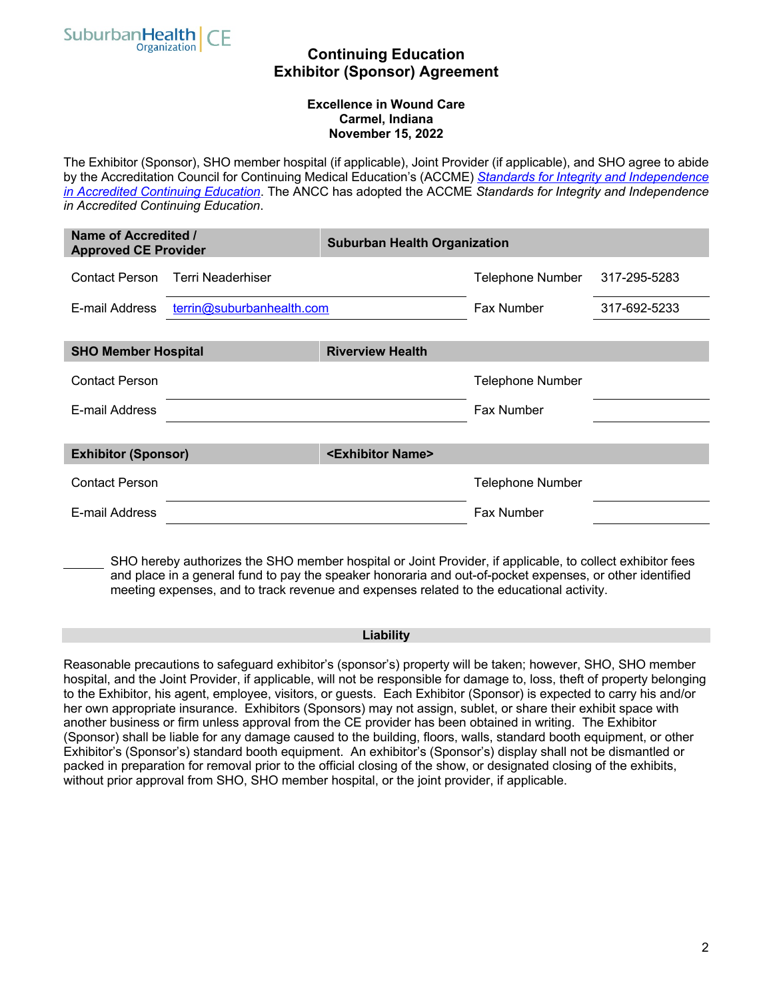

### **Continuing Education Exhibitor (Sponsor) Agreement**

#### **Excellence in Wound Care Carmel, Indiana November 15, 2022**

The Exhibitor (Sponsor), SHO member hospital (if applicable), Joint Provider (if applicable), and SHO agree to abide by the Accreditation Council for Continuing Medical Education's (ACCME) *Standards for Integrity and Independence in Accredited Continuing Education*. The ANCC has adopted the ACCME *Standards for Integrity and Independence in Accredited Continuing Education*.

| Name of Accredited /<br><b>Approved CE Provider</b>            |                           | <b>Suburban Health Organization</b> |                         |              |
|----------------------------------------------------------------|---------------------------|-------------------------------------|-------------------------|--------------|
| Contact Person                                                 | Terri Neaderhiser         |                                     | <b>Telephone Number</b> | 317-295-5283 |
| E-mail Address                                                 | terrin@suburbanhealth.com |                                     | Fax Number              | 317-692-5233 |
| <b>SHO Member Hospital</b>                                     |                           | <b>Riverview Health</b>             |                         |              |
| <b>Contact Person</b>                                          |                           |                                     | <b>Telephone Number</b> |              |
| E-mail Address                                                 |                           |                                     | Fax Number              |              |
| <exhibitor name=""><br/><b>Exhibitor (Sponsor)</b></exhibitor> |                           |                                     |                         |              |
| <b>Contact Person</b>                                          |                           |                                     | <b>Telephone Number</b> |              |
| E-mail Address                                                 |                           |                                     | <b>Fax Number</b>       |              |

SHO hereby authorizes the SHO member hospital or Joint Provider, if applicable, to collect exhibitor fees and place in a general fund to pay the speaker honoraria and out-of-pocket expenses, or other identified meeting expenses, and to track revenue and expenses related to the educational activity.

#### **Liability**

Reasonable precautions to safeguard exhibitor's (sponsor's) property will be taken; however, SHO, SHO member hospital, and the Joint Provider, if applicable, will not be responsible for damage to, loss, theft of property belonging to the Exhibitor, his agent, employee, visitors, or guests. Each Exhibitor (Sponsor) is expected to carry his and/or her own appropriate insurance. Exhibitors (Sponsors) may not assign, sublet, or share their exhibit space with another business or firm unless approval from the CE provider has been obtained in writing. The Exhibitor (Sponsor) shall be liable for any damage caused to the building, floors, walls, standard booth equipment, or other Exhibitor's (Sponsor's) standard booth equipment. An exhibitor's (Sponsor's) display shall not be dismantled or packed in preparation for removal prior to the official closing of the show, or designated closing of the exhibits, without prior approval from SHO, SHO member hospital, or the joint provider, if applicable.